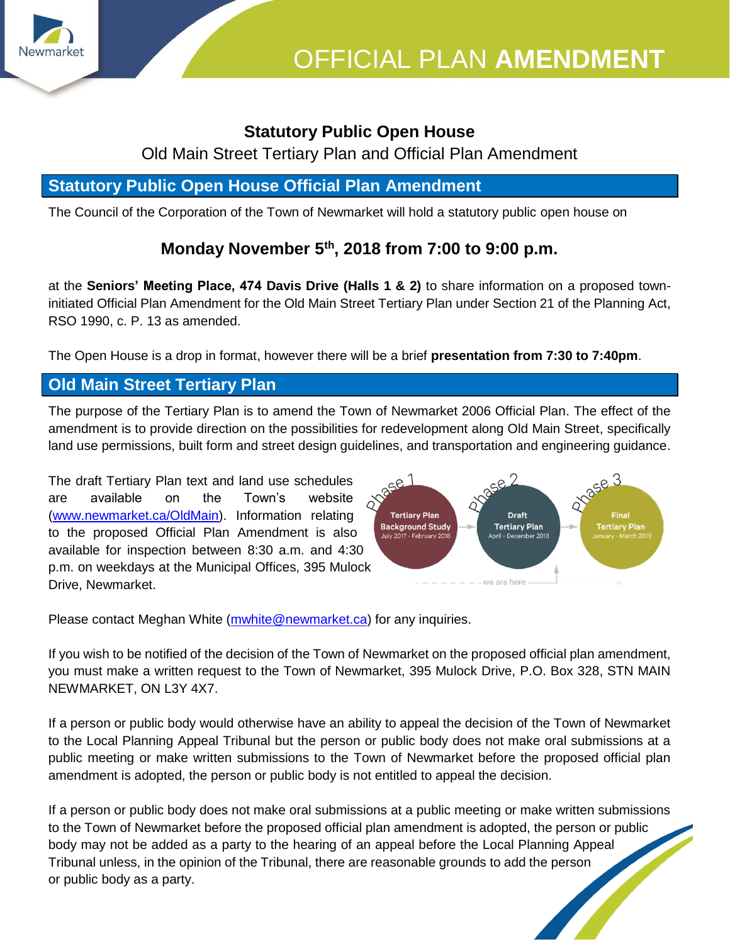

#### **Statutory Public Open House**

#### Old Main Street Tertiary Plan and Official Plan Amendment

## **Statutory Public Open House Official Plan Amendment**

The Council of the Corporation of the Town of Newmarket will hold a statutory public open house on

### **Monday November 5th, 2018 from 7:00 to 9:00 p.m.**

at the **Seniors' Meeting Place, 474 Davis Drive (Halls 1 & 2)** to share information on a proposed towninitiated Official Plan Amendment for the Old Main Street Tertiary Plan under Section 21 of the Planning Act, RSO 1990, c. P. 13 as amended.

The Open House is a drop in format, however there will be a brief **presentation from 7:30 to 7:40pm**.

#### **Old Main Street Tertiary Plan**

The purpose of the Tertiary Plan is to amend the Town of Newmarket 2006 Official Plan. The effect of the amendment is to provide direction on the possibilities for redevelopment along Old Main Street, specifically land use permissions, built form and street design guidelines, and transportation and engineering guidance.

The draft Tertiary Plan text and land use schedules are available on the Town's website [\(www.newmarket.ca/OldMain\)](http://www.newmarket.ca/OldMain). Information relating to the proposed Official Plan Amendment is also available for inspection between 8:30 a.m. and 4:30 p.m. on weekdays at the Municipal Offices, 395 Mulock Drive, Newmarket.



Please contact Meghan White [\(mwhite@newmarket.ca\)](mailto:mwhite@newmarket.ca) for any inquiries.

If you wish to be notified of the decision of the Town of Newmarket on the proposed official plan amendment, you must make a written request to the Town of Newmarket, 395 Mulock Drive, P.O. Box 328, STN MAIN NEWMARKET, ON L3Y 4X7.

If a person or public body would otherwise have an ability to appeal the decision of the Town of Newmarket to the Local Planning Appeal Tribunal but the person or public body does not make oral submissions at a public meeting or make written submissions to the Town of Newmarket before the proposed official plan amendment is adopted, the person or public body is not entitled to appeal the decision.

If a person or public body does not make oral submissions at a public meeting or make written submissions to the Town of Newmarket before the proposed official plan amendment is adopted, the person or public body may not be added as a party to the hearing of an appeal before the Local Planning Appeal Tribunal unless, in the opinion of the Tribunal, there are reasonable grounds to add the person or public body as a party.